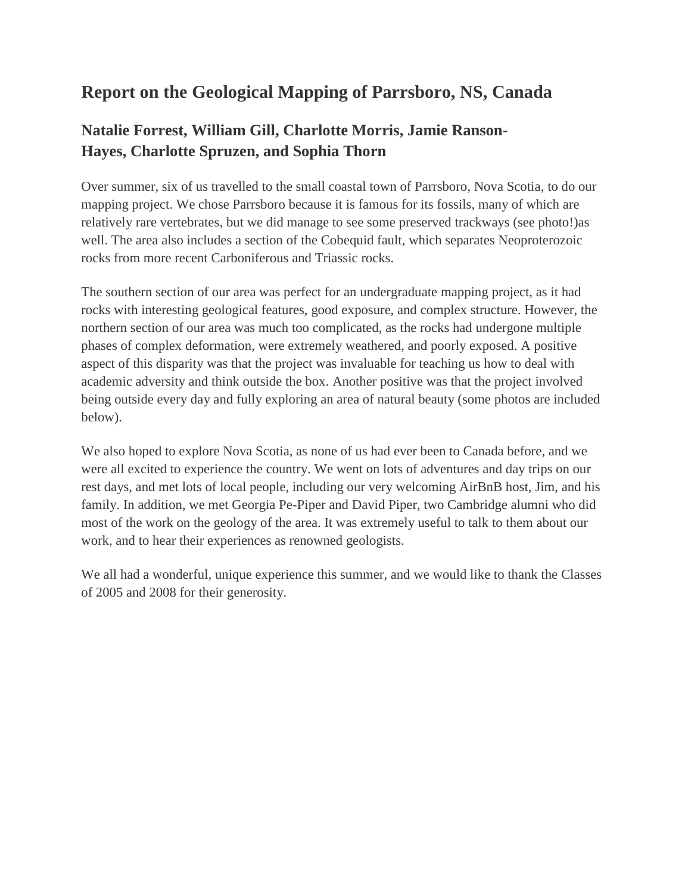## **Report on the Geological Mapping of Parrsboro, NS, Canada**

## **Natalie Forrest, William Gill, Charlotte Morris, Jamie Ranson-Hayes, Charlotte Spruzen, and Sophia Thorn**

Over summer, six of us travelled to the small coastal town of Parrsboro, Nova Scotia, to do our mapping project. We chose Parrsboro because it is famous for its fossils, many of which are relatively rare vertebrates, but we did manage to see some preserved trackways (see photo!)as well. The area also includes a section of the Cobequid fault, which separates Neoproterozoic rocks from more recent Carboniferous and Triassic rocks.

The southern section of our area was perfect for an undergraduate mapping project, as it had rocks with interesting geological features, good exposure, and complex structure. However, the northern section of our area was much too complicated, as the rocks had undergone multiple phases of complex deformation, were extremely weathered, and poorly exposed. A positive aspect of this disparity was that the project was invaluable for teaching us how to deal with academic adversity and think outside the box. Another positive was that the project involved being outside every day and fully exploring an area of natural beauty (some photos are included below).

We also hoped to explore Nova Scotia, as none of us had ever been to Canada before, and we were all excited to experience the country. We went on lots of adventures and day trips on our rest days, and met lots of local people, including our very welcoming AirBnB host, Jim, and his family. In addition, we met Georgia Pe-Piper and David Piper, two Cambridge alumni who did most of the work on the geology of the area. It was extremely useful to talk to them about our work, and to hear their experiences as renowned geologists.

We all had a wonderful, unique experience this summer, and we would like to thank the Classes of 2005 and 2008 for their generosity.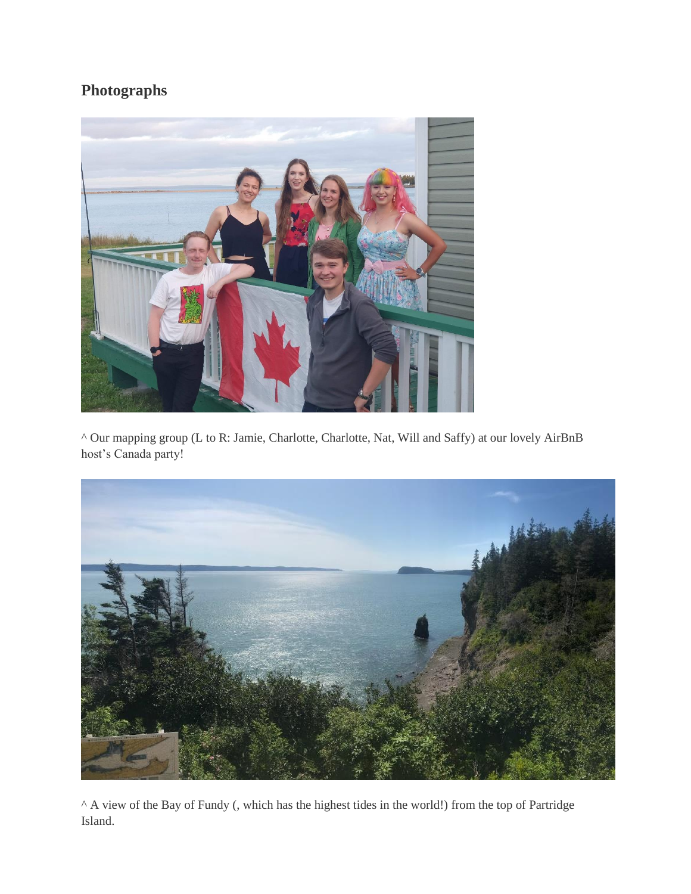## **Photographs**



^ Our mapping group (L to R: Jamie, Charlotte, Charlotte, Nat, Will and Saffy) at our lovely AirBnB host's Canada party!



^ A view of the Bay of Fundy (, which has the highest tides in the world!) from the top of Partridge Island.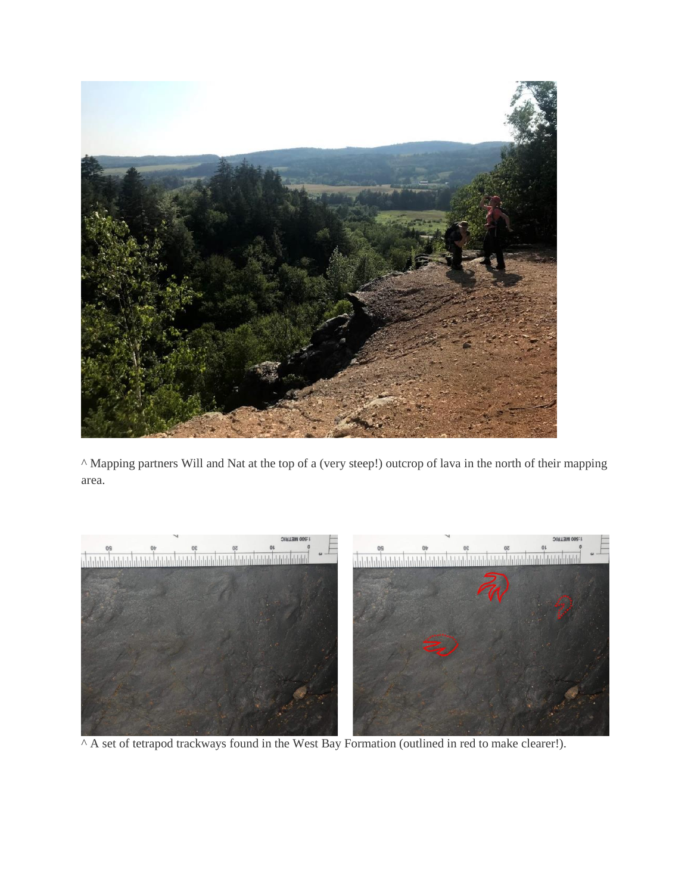

^ Mapping partners Will and Nat at the top of a (very steep!) outcrop of lava in the north of their mapping area.



^ A set of tetrapod trackways found in the West Bay Formation (outlined in red to make clearer!).